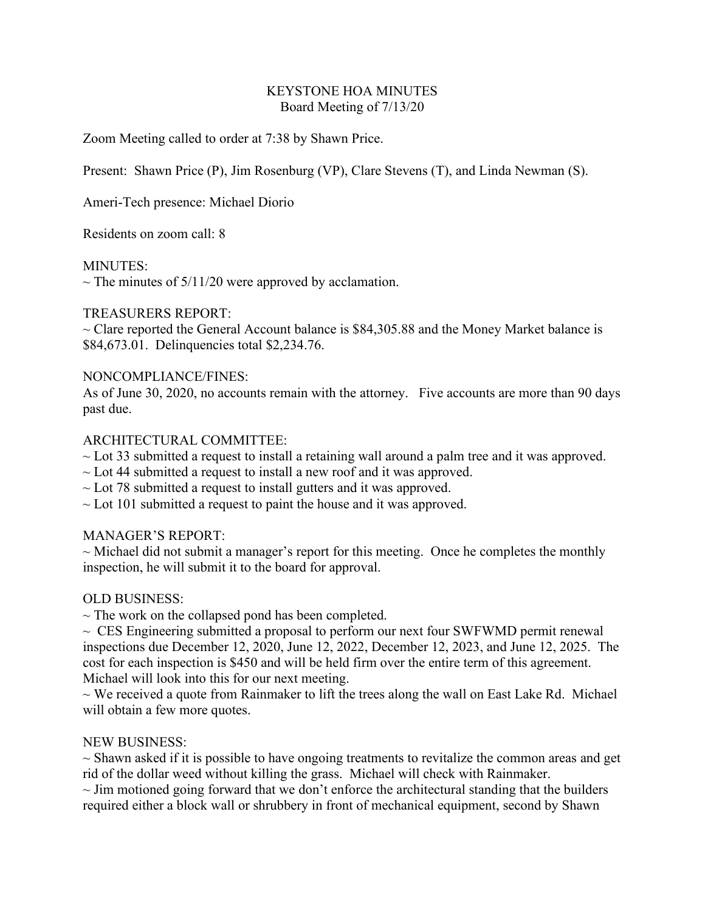#### KEYSTONE HOA MINUTES Board Meeting of 7/13/20

Zoom Meeting called to order at 7:38 by Shawn Price.

Present: Shawn Price (P), Jim Rosenburg (VP), Clare Stevens (T), and Linda Newman (S).

Ameri-Tech presence: Michael Diorio

Residents on zoom call: 8

#### MINUTES:

 $\sim$  The minutes of 5/11/20 were approved by acclamation.

## TREASURERS REPORT:

 $\sim$  Clare reported the General Account balance is \$84,305.88 and the Money Market balance is \$84,673.01. Delinquencies total \$2,234.76.

## NONCOMPLIANCE/FINES:

As of June 30, 2020, no accounts remain with the attorney. Five accounts are more than 90 days past due.

## ARCHITECTURAL COMMITTEE:

- $\sim$  Lot 33 submitted a request to install a retaining wall around a palm tree and it was approved.
- $\sim$  Lot 44 submitted a request to install a new roof and it was approved.
- $\sim$  Lot 78 submitted a request to install gutters and it was approved.
- $\sim$  Lot 101 submitted a request to paint the house and it was approved.

# MANAGER'S REPORT:

 $\sim$  Michael did not submit a manager's report for this meeting. Once he completes the monthly inspection, he will submit it to the board for approval.

# OLD BUSINESS:

 $\sim$  The work on the collapsed pond has been completed.

 $\sim$  CES Engineering submitted a proposal to perform our next four SWFWMD permit renewal inspections due December 12, 2020, June 12, 2022, December 12, 2023, and June 12, 2025. The cost for each inspection is \$450 and will be held firm over the entire term of this agreement. Michael will look into this for our next meeting.

 $\sim$  We received a quote from Rainmaker to lift the trees along the wall on East Lake Rd. Michael will obtain a few more quotes.

#### NEW BUSINESS:

 $\sim$  Shawn asked if it is possible to have ongoing treatments to revitalize the common areas and get rid of the dollar weed without killing the grass. Michael will check with Rainmaker.

 $\sim$  Jim motioned going forward that we don't enforce the architectural standing that the builders required either a block wall or shrubbery in front of mechanical equipment, second by Shawn